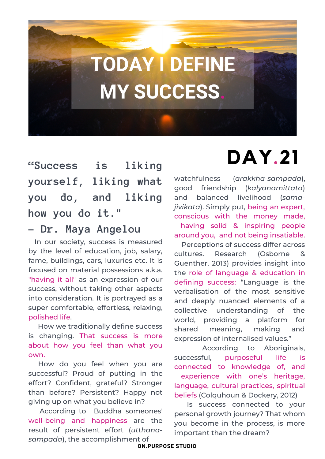# **TODAY I DEFINE MY SUCCESS.**

**"Success is liking yourself, liking what you do, and liking how you do it."**

#### **― Dr. Maya Angelou**

In our society, success is measured by the level of education, job, salary, fame, buildings, cars, luxuries etc. It is focused on material possessions a.k.a. "having it all" as an expression of our success, without taking other aspects into consideration. It is portrayed as a super comfortable, effortless, relaxing, polished life.

How we traditionally define success is changing. That success is more about how you feel than what you own.

How do you feel when you are successful? Proud of putting in the effort? Confident, grateful? Stronger than before? Persistent? Happy not giving up on what you believe in?

According to Buddha someones' well-being and happiness are the result of persistent effort (*utthanasampada*), the accomplishment of

## **DAY.21**

watchfulness (*arakkha-sampada*), good friendship (*kalyanamittata*) and balanced livelihood (*samajivikata*). Simply put, being an expert, conscious with the money made, having solid & inspiring people around you, and not being insatiable.

Perceptions of success differ across cultures. Research (Osborne & Guenther, 2013) provides insight into the role of language & education in defining success: "Language is the verbalisation of the most sensitive and deeply nuanced elements of a collective understanding of the world, providing a platform for shared meaning, making and expression of internalised values."

According to Aboriginals, successful, purposeful life is connected to knowledge of, and experience with one's heritage, language, cultural practices, spiritual beliefs (Colquhoun & Dockery, 2012)

Is success connected to your personal growth journey? That whom you become in the process, is more important than the dream?